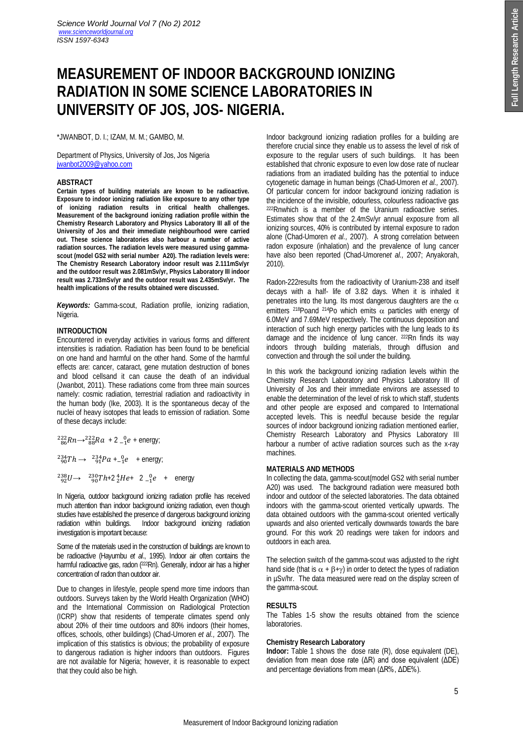# **MEASUREMENT OF INDOOR BACKGROUND IONIZING RADIATION IN SOME SCIENCE LABORATORIES IN UNIVERSITY OF JOS, JOS- NIGERIA.**

\*JWANBOT, D. I.; IZAM, M. M.; GAMBO, M.

Department of Physics, University of Jos, Jos Nigeria jwanbot2009@yahoo.com

## **ABSTRACT**

**Certain types of building materials are known to be radioactive. Exposure to indoor ionizing radiation like exposure to any other type of ionizing radiation results in critical health challenges. Measurement of the background ionizing radiation profile within the Chemistry Research Laboratory and Physics Laboratory III all of the University of Jos and their immediate neighbourhood were carried out. These science laboratories also harbour a number of active radiation sources. The radiation levels were measured using gammascout (model GS2 with serial number A20). The radiation levels were: The Chemistry Research Laboratory indoor result was 2.111mSv/yr and the outdoor result was 2.081mSv/yr, Physics Laboratory III indoor result was 2.733mSv/yr and the outdoor result was 2.435mSv/yr. The health implications of the results obtained were discussed.** 

*Keywords:* Gamma-scout, Radiation profile, ionizing radiation, Nigeria.

# **INTRODUCTION**

Encountered in everyday activities in various forms and different intensities is radiation. Radiation has been found to be beneficial on one hand and harmful on the other hand. Some of the harmful effects are: cancer, cataract, gene mutation destruction of bones and blood cellsand it can cause the death of an individual (Jwanbot, 2011). These radiations come from three main sources namely: cosmic radiation, terrestrial radiation and radioactivity in the human body (Ike, 2003). It is the spontaneous decay of the nuclei of heavy isotopes that leads to emission of radiation. Some of these decays include:

 $^{222}_{86}Rn \rightarrow ^{222}_{88}Ra + 2^{0}_{-1}e +$  energy;

 $^{234}_{90}Th \rightarrow ^{234}_{91}Pa + ^{0}_{-1}e$  + energy;  $^{238}_{92}U \rightarrow ^{230}_{90}Th + 2^{4}_{2}He + ^{2}_{-1}e +$  energy

In Nigeria, outdoor background ionizing radiation profile has received much attention than indoor background ionizing radiation, even though studies have established the presence of dangerous background ionizing radiation within buildings. Indoor background ionizing radiation investigation is important because:

Some of the materials used in the construction of buildings are known to be radioactive (Hayumbu *et al*., 1995). Indoor air often contains the harmful radioactive gas, radon (222Rn). Generally, indoor air has a higher concentration of radon than outdoor air.

Due to changes in lifestyle, people spend more time indoors than outdoors. Surveys taken by the World Health Organization (WHO) and the International Commission on Radiological Protection (ICRP) show that residents of temperate climates spend only about 20% of their time outdoors and 80% indoors (their homes, offices, schools, other buildings) (Chad-Umoren *et al.,* 2007). The implication of this statistics is obvious; the probability of exposure to dangerous radiation is higher indoors than outdoors. Figures are not available for Nigeria; however, it is reasonable to expect that they could also be high.

Indoor background ionizing radiation profiles for a building are therefore crucial since they enable us to assess the level of risk of exposure to the regular users of such buildings. It has been established that chronic exposure to even low dose rate of nuclear radiations from an irradiated building has the potential to induce cytogenetic damage in human beings (Chad-Umoren *et al.,* 2007). Of particular concern for indoor background ionizing radiation is the incidence of the invisible, odourless, colourless radioactive gas 222Rnwhich is a member of the Uranium radioactive series. Estimates show that of the 2.4mSv/yr annual exposure from all ionizing sources, 40% is contributed by internal exposure to radon alone (Chad-Umoren *et al.,* 2007). A strong correlation between radon exposure (inhalation) and the prevalence of lung cancer have also been reported (Chad-Umoren*et al.,* 2007; Anyakorah, 2010). **EGROUND IONIZING**<br> **ABORATORIES IN**<br> **ARA:**<br> **ABORATORIES IN**<br> **ARA:**<br> **ARA:**<br> **ARA:**<br> **ARA:**<br> **ARA:**<br> **ARA:**<br> **ARA:**<br> **ARA:**<br> **ARA:**<br> **ARA:**<br> **ARA:**<br> **ARA:**<br> **ARA:**<br> **ARA:**<br> **ARA:**<br> **ARA:**<br> **ARA:**<br> **ARA:**<br>

Radon-222results from the radioactivity of Uranium-238 and itself decays with a half- life of 3.82 days. When it is inhaled it penetrates into the lung. Its most dangerous daughters are the  $\alpha$ emitters <sup>218</sup>Poand <sup>214</sup>Po which emits  $\alpha$  particles with energy of 6.0MeV and 7.69MeV respectively. The continuous deposition and interaction of such high energy particles with the lung leads to its damage and the incidence of lung cancer. 222Rn finds its way indoors through building materials, through diffusion and convection and through the soil under the building.

In this work the background ionizing radiation levels within the Chemistry Research Laboratory and Physics Laboratory III of University of Jos and their immediate environs are assessed to enable the determination of the level of risk to which staff, students and other people are exposed and compared to International accepted levels. This is needful because beside the regular sources of indoor background ionizing radiation mentioned earlier, Chemistry Research Laboratory and Physics Laboratory III harbour a number of active radiation sources such as the x-ray machines.

# **MATERIALS AND METHODS**

In collecting the data, gamma-scout(model GS2 with serial number A20) was used. The background radiation were measured both indoor and outdoor of the selected laboratories. The data obtained indoors with the gamma-scout oriented vertically upwards. The data obtained outdoors with the gamma-scout oriented vertically upwards and also oriented vertically downwards towards the bare ground. For this work 20 readings were taken for indoors and outdoors in each area.

The selection switch of the gamma-scout was adjusted to the right hand side (that is  $\alpha + \beta + \gamma$ ) in order to detect the types of radiation in µSv/hr. The data measured were read on the display screen of the gamma-scout.

# **RESULTS**

The Tables 1-5 show the results obtained from the science laboratories.

# **Chemistry Research Laboratory**

**Indoor:** Table 1 shows the dose rate (R), dose equivalent (DE), deviation from mean dose rate (ΔR) and dose equivalent (ΔDE)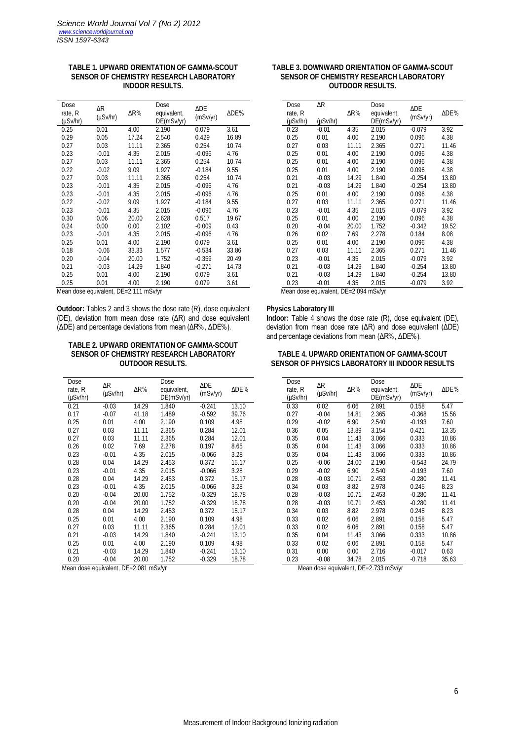## **TABLE 1. UPWARD ORIENTATION OF GAMMA-SCOUT SENSOR OF CHEMISTRY RESEARCH LABORATORY INDOOR RESULTS.**

| Dose<br>rate, R<br>(µSv/hr) | ΔR<br>$(\mu Sv/hr)$ | ΔR%   | Dose<br>equivalent,<br>DE(mSv/yr) | ΔDE<br>(mSv/yr) | ΔDE%  |
|-----------------------------|---------------------|-------|-----------------------------------|-----------------|-------|
| 0.25                        | 0.01                | 4.00  | 2.190                             | 0.079           | 3.61  |
| 0.29                        | 0.05                | 17.24 | 2.540                             | 0.429           | 16.89 |
| 0.27                        | 0.03                | 11.11 | 2.365                             | 0.254           | 10.74 |
| 0.23                        | $-0.01$             | 4.35  | 2.015                             | $-0.096$        | 4.76  |
| 0.27                        | 0.03                | 11.11 | 2.365                             | 0.254           | 10.74 |
| 0.22                        | $-0.02$             | 9.09  | 1.927                             | $-0.184$        | 9.55  |
| 0.27                        | 0.03                | 11.11 | 2.365                             | 0.254           | 10.74 |
| 0.23                        | $-0.01$             | 4.35  | 2.015                             | $-0.096$        | 4.76  |
| 0.23                        | $-0.01$             | 4.35  | 2.015                             | $-0.096$        | 4.76  |
| 0.22                        | $-0.02$             | 9.09  | 1.927                             | $-0.184$        | 9.55  |
| 0.23                        | $-0.01$             | 4.35  | 2.015                             | $-0.096$        | 4.76  |
| 0.30                        | 0.06                | 20.00 | 2.628                             | 0.517           | 19.67 |
| 0.24                        | 0.00                | 0.00  | 2.102                             | $-0.009$        | 0.43  |
| 0.23                        | $-0.01$             | 4.35  | 2.015                             | $-0.096$        | 4.76  |
| 0.25                        | 0.01                | 4.00  | 2.190                             | 0.079           | 3.61  |
| 0.18                        | $-0.06$             | 33.33 | 1.577                             | $-0.534$        | 33.86 |
| 0.20                        | $-0.04$             | 20.00 | 1.752                             | $-0.359$        | 20.49 |
| 0.21                        | $-0.03$             | 14.29 | 1.840                             | $-0.271$        | 14.73 |
| 0.25                        | 0.01                | 4.00  | 2.190                             | 0.079           | 3.61  |
| 0.25                        | 0.01                | 4.00  | 2.190                             | 0.079           | 3.61  |

Mean dose equivalent, DE=2.111 mSv/yr

**Outdoor:** Tables 2 and 3 shows the dose rate (R), dose equivalent (DE), deviation from mean dose rate (ΔR) and dose equivalent (ΔDE) and percentage deviations from mean (ΔR%, ΔDE%).

# **TABLE 2. UPWARD ORIENTATION OF GAMMA-SCOUT SENSOR OF CHEMISTRY RESEARCH LABORATORY OUTDOOR RESULTS.**

| Dose<br>rate, R<br>$(\mu Sv/hr)$ | ΔR<br>$(\mu Sv/hr)$ | ΔR%   | Dose<br>equivalent,<br>DE(mSv/yr) | ΔDE<br>(mSv/yr) | ΔDE <sup>%</sup> |
|----------------------------------|---------------------|-------|-----------------------------------|-----------------|------------------|
| 0.21                             | $-0.03$             | 14.29 | 1.840                             | $-0.241$        | 13.10            |
| 0.17                             | $-0.07$             | 41.18 | 1.489                             | $-0.592$        | 39.76            |
| 0.25                             | 0.01                | 4.00  | 2.190                             | 0.109           | 4.98             |
| 0.27                             | 0.03                | 11.11 | 2.365                             | 0.284           | 12.01            |
| 0.27                             | 0.03                | 11.11 | 2.365                             | 0.284           | 12.01            |
| 0.26                             | 0.02                | 7.69  | 2.278                             | 0.197           | 8.65             |
| 0.23                             | $-0.01$             | 4.35  | 2.015                             | $-0.066$        | 3.28             |
| 0.28                             | 0.04                | 14.29 | 2.453                             | 0.372           | 15.17            |
| 0.23                             | $-0.01$             | 4.35  | 2.015                             | $-0.066$        | 3.28             |
| 0.28                             | 0.04                | 14.29 | 2.453                             | 0.372           | 15.17            |
| 0.23                             | $-0.01$             | 4.35  | 2.015                             | $-0.066$        | 3.28             |
| 0.20                             | $-0.04$             | 20.00 | 1.752                             | $-0.329$        | 18.78            |
| 0.20                             | $-0.04$             | 20.00 | 1.752                             | $-0.329$        | 18.78            |
| 0.28                             | 0.04                | 14.29 | 2.453                             | 0.372           | 15.17            |
| 0.25                             | 0.01                | 4.00  | 2.190                             | 0.109           | 4.98             |
| 0.27                             | 0.03                | 11.11 | 2.365                             | 0.284           | 12.01            |
| 0.21                             | $-0.03$             | 14.29 | 1.840                             | $-0.241$        | 13.10            |
| 0.25                             | 0.01                | 4.00  | 2.190                             | 0.109           | 4.98             |
| 0.21                             | $-0.03$             | 14.29 | 1.840                             | $-0.241$        | 13.10            |
| 0.20                             | $-0.04$             | 20.00 | 1.752                             | $-0.329$        | 18.78            |

Mean dose equivalent, DE=2.081 mSv/yr

# **TABLE 3. DOWNWARD ORIENTATION OF GAMMA-SCOUT SENSOR OF CHEMISTRY RESEARCH LABORATORY OUTDOOR RESULTS.**

| Dose<br>rate, R<br>$(\mu Sv/hr)$ | ΔR<br>(µSv/hr)                           | ΔR%   | Dose<br>equivalent,<br>DE(mSv/yr) | ΔDE<br>(mSv/yr) | ΔDE%  |  |  |
|----------------------------------|------------------------------------------|-------|-----------------------------------|-----------------|-------|--|--|
| 0.23                             | $-0.01$                                  | 4.35  | 2.015                             | $-0.079$        | 3.92  |  |  |
| 0.25                             | 0.01                                     | 4.00  | 2.190                             | 0.096           | 4.38  |  |  |
| 0.27                             | 0.03                                     | 11.11 | 2.365                             | 0.271           | 11.46 |  |  |
| 0.25                             | 0.01                                     | 4.00  | 2.190                             | 0.096           | 4.38  |  |  |
| 0.25                             | 0.01                                     | 4.00  | 2.190                             | 0.096           | 4.38  |  |  |
| 0.25                             | 0.01                                     | 4.00  | 2.190                             | 0.096           | 4.38  |  |  |
| 0.21                             | $-0.03$                                  | 14.29 | 1.840                             | $-0.254$        | 13.80 |  |  |
| 0.21                             | $-0.03$                                  | 14.29 | 1.840                             | $-0.254$        | 13.80 |  |  |
| 0.25                             | 0.01                                     | 4.00  | 2.190                             | 0.096           | 4.38  |  |  |
| 0.27                             | 0.03                                     | 11.11 | 2.365                             | 0.271           | 11.46 |  |  |
| 0.23                             | $-0.01$                                  | 4.35  | 2.015                             | $-0.079$        | 3.92  |  |  |
| 0.25                             | 0.01                                     | 4.00  | 2.190                             | 0.096           | 4.38  |  |  |
| 0.20                             | $-0.04$                                  | 20.00 | 1.752                             | $-0.342$        | 19.52 |  |  |
| 0.26                             | 0.02                                     | 7.69  | 2.278                             | 0.184           | 8.08  |  |  |
| 0.25                             | 0.01                                     | 4.00  | 2.190                             | 0.096           | 4.38  |  |  |
| 0.27                             | 0.03                                     | 11.11 | 2.365                             | 0.271           | 11.46 |  |  |
| 0.23                             | $-0.01$                                  | 4.35  | 2.015                             | $-0.079$        | 3.92  |  |  |
| 0.21                             | $-0.03$                                  | 14.29 | 1.840                             | $-0.254$        | 13.80 |  |  |
| 0.21                             | $-0.03$                                  | 14.29 | 1.840                             | $-0.254$        | 13.80 |  |  |
| 0.23                             | $-0.01$                                  | 4.35  | 2.015                             | $-0.079$        | 3.92  |  |  |
|                                  | taaleyiyna aanh acaM<br>$DE-2004$ msulve |       |                                   |                 |       |  |  |

Mean dose equivalent, DE=2.094 mSv/yr

### **Physics Laboratory III**

**Indoor:** Table 4 shows the dose rate (R), dose equivalent (DE), deviation from mean dose rate (ΔR) and dose equivalent (ΔDE) and percentage deviations from mean (ΔR%, ΔDE%).

| TABLE 4. UPWARD ORIENTATION OF GAMMA-SCOUT      |  |
|-------------------------------------------------|--|
| SENSOR OF PHYSICS LABORATORY III INDOOR RESULTS |  |

| Dose<br>rate, R<br>(µSv/hr) | ΔR<br>(uSv/hr) | ΔR%   | Dose<br>equivalent,<br>DE(mSv/yr) | <b>ADE</b><br>(mSv/yr) | ΔDE%  |
|-----------------------------|----------------|-------|-----------------------------------|------------------------|-------|
| 0.33                        | 0.02           | 6.06  | 2.891                             | 0.158                  | 5.47  |
| 0.27                        | $-0.04$        | 14.81 | 2.365                             | $-0.368$               | 15.56 |
| 0.29                        | $-0.02$        | 6.90  | 2.540                             | $-0.193$               | 7.60  |
| 0.36                        | 0.05           | 13.89 | 3.154                             | 0.421                  | 13.35 |
| 0.35                        | 0.04           | 11.43 | 3.066                             | 0.333                  | 10.86 |
| 0.35                        | 0.04           | 11.43 | 3.066                             | 0.333                  | 10.86 |
| 0.35                        | 0.04           | 11.43 | 3.066                             | 0.333                  | 10.86 |
| 0.25                        | $-0.06$        | 24.00 | 2.190                             | $-0.543$               | 24.79 |
| 0.29                        | $-0.02$        | 6.90  | 2.540                             | $-0.193$               | 7.60  |
| 0.28                        | $-0.03$        | 10.71 | 2.453                             | $-0.280$               | 11.41 |
| 0.34                        | 0.03           | 8.82  | 2.978                             | 0.245                  | 8.23  |
| 0.28                        | $-0.03$        | 10.71 | 2.453                             | $-0.280$               | 11.41 |
| 0.28                        | $-0.03$        | 10.71 | 2.453                             | $-0.280$               | 11.41 |
| 0.34                        | 0.03           | 8.82  | 2.978                             | 0.245                  | 8.23  |
| 0.33                        | 0.02           | 6.06  | 2.891                             | 0.158                  | 5.47  |
| 0.33                        | 0.02           | 6.06  | 2.891                             | 0.158                  | 5.47  |
| 0.35                        | 0.04           | 11.43 | 3.066                             | 0.333                  | 10.86 |
| 0.33                        | 0.02           | 6.06  | 2.891                             | 0.158                  | 5.47  |
| 0.31                        | 0.00           | 0.00  | 2.716                             | $-0.017$               | 0.63  |
| 0.23                        | $-0.08$        | 34.78 | 2.015                             | $-0.718$               | 35.63 |

Mean dose equivalent, DE=2.733 mSv/yr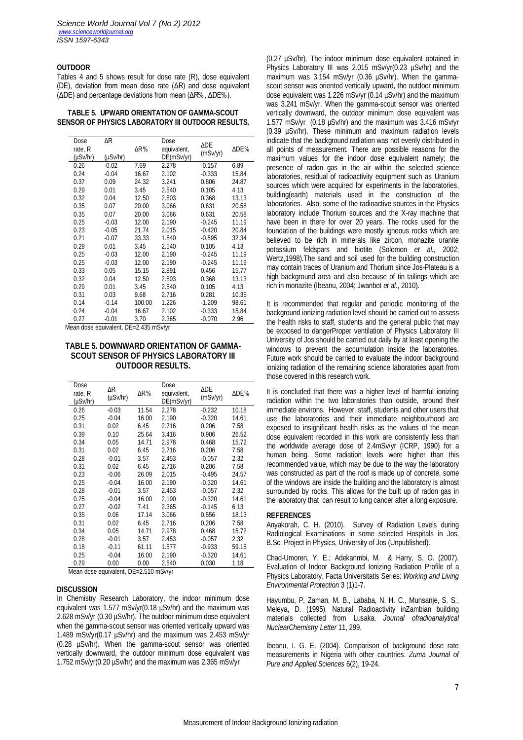# **OUTDOOR**

Tables 4 and 5 shows result for dose rate (R), dose equivalent (DE), deviation from mean dose rate (ΔR) and dose equivalent (ΔDE) and percentage deviations from mean (ΔR%, ΔDE%).

**TABLE 5. UPWARD ORIENTATION OF GAMMA-SCOUT SENSOR OF PHYSICS LABORATORY III OUTDOOR RESULTS.**

| Dose     | ΔR       |        | Dose        |          |       |
|----------|----------|--------|-------------|----------|-------|
| rate, R  |          | ΔR%    | equivalent, | ΔDE      | ΔDE%  |
| (µSv/hr) | (µSv/hr) |        | DE(mSv/yr)  | (mSv/yr) |       |
| 0.26     | $-0.02$  | 7.69   | 2.278       | $-0.157$ | 6.89  |
| 0.24     | $-0.04$  | 16.67  | 2.102       | $-0.333$ | 15.84 |
| 0.37     | 0.09     | 24.32  | 3.241       | 0.806    | 24.87 |
| 0.29     | 0.01     | 3.45   | 2.540       | 0.105    | 4.13  |
| 0.32     | 0.04     | 12.50  | 2.803       | 0.368    | 13.13 |
| 0.35     | 0.07     | 20.00  | 3.066       | 0.631    | 20.58 |
| 0.35     | 0.07     | 20.00  | 3.066       | 0.631    | 20.58 |
| 0.25     | $-0.03$  | 12.00  | 2.190       | $-0.245$ | 11.19 |
| 0.23     | $-0.05$  | 21.74  | 2.015       | $-0.420$ | 20.84 |
| 0.21     | $-0.07$  | 33.33  | 1.840       | $-0.595$ | 32.34 |
| 0.29     | 0.01     | 3.45   | 2.540       | 0.105    | 4.13  |
| 0.25     | $-0.03$  | 12.00  | 2.190       | $-0.245$ | 11.19 |
| 0.25     | $-0.03$  | 12.00  | 2.190       | $-0.245$ | 11.19 |
| 0.33     | 0.05     | 15.15  | 2.891       | 0.456    | 15.77 |
| 0.32     | 0.04     | 12.50  | 2.803       | 0.368    | 13.13 |
| 0.29     | 0.01     | 3.45   | 2.540       | 0.105    | 4.13  |
| 0.31     | 0.03     | 9.68   | 2.716       | 0.281    | 10.35 |
| 0.14     | $-0.14$  | 100.00 | 1.226       | $-1.209$ | 98.61 |
| 0.24     | $-0.04$  | 16.67  | 2.102       | $-0.333$ | 15.84 |
| 0.27     | $-0.01$  | 3.70   | 2.365       | $-0.070$ | 2.96  |

Mean dose equivalent, DE=2.435 mSv/yr

# **TABLE 5. DOWNWARD ORIENTATION OF GAMMA-SCOUT SENSOR OF PHYSICS LABORATORY III OUTDOOR RESULTS.**

| Dose<br>rate, R<br>$(\mu Sv/hr)$ | ΔR<br>$(\mu Sv/hr)$ | ΔR%   | Dose<br>equivalent,<br>DE(mSv/yr) | ΔDE<br>(mSv/yr) | ΔDE%  |
|----------------------------------|---------------------|-------|-----------------------------------|-----------------|-------|
| 0.26                             | $-0.03$             | 11.54 | 2.278                             | $-0.232$        | 10.18 |
| 0.25                             | $-0.04$             | 16.00 | 2.190                             | $-0.320$        | 14.61 |
| 0.31                             | 0.02                | 6.45  | 2.716                             | 0.206           | 7.58  |
| 0.39                             | 0.10                | 25.64 | 3.416                             | 0.906           | 26.52 |
| 0.34                             | 0.05                | 14.71 | 2.978                             | 0.468           | 15.72 |
| 0.31                             | 0.02                | 6.45  | 2.716                             | 0.206           | 7.58  |
| 0.28                             | $-0.01$             | 3.57  | 2.453                             | $-0.057$        | 2.32  |
| 0.31                             | 0.02                | 6.45  | 2.716                             | 0.206           | 7.58  |
| 0.23                             | $-0.06$             | 26.09 | 2.015                             | $-0.495$        | 24.57 |
| 0.25                             | $-0.04$             | 16.00 | 2.190                             | $-0.320$        | 14.61 |
| 0.28                             | $-0.01$             | 3.57  | 2.453                             | $-0.057$        | 2.32  |
| 0.25                             | $-0.04$             | 16.00 | 2.190                             | $-0.320$        | 14.61 |
| 0.27                             | $-0.02$             | 7.41  | 2.365                             | $-0.145$        | 6.13  |
| 0.35                             | 0.06                | 17.14 | 3.066                             | 0.556           | 18.13 |
| 0.31                             | 0.02                | 6.45  | 2.716                             | 0.206           | 7.58  |
| 0.34                             | 0.05                | 14.71 | 2.978                             | 0.468           | 15.72 |
| 0.28                             | $-0.01$             | 3.57  | 2.453                             | $-0.057$        | 2.32  |
| 0.18                             | $-0.11$             | 61.11 | 1.577                             | $-0.933$        | 59.16 |
| 0.25                             | $-0.04$             | 16.00 | 2.190                             | $-0.320$        | 14.61 |
| 0.29                             | 0.00                | 0.00  | 2.540                             | 0.030           | 1.18  |

Mean dose equivalent, DE=2.510 mSv/yr

#### **DISCUSSION**

In Chemistry Research Laboratory, the indoor minimum dose equivalent was 1.577 mSv/yr(0.18 µSv/hr) and the maximum was 2.628 mSv/yr (0.30 µSv/hr). The outdoor minimum dose equivalent when the gamma-scout sensor was oriented vertically upward was 1.489 mSv/yr(0.17 µSv/hr) and the maximum was 2.453 mSv/yr (0.28 µSv/hr). When the gamma-scout sensor was oriented vertically downward, the outdoor minimum dose equivalent was 1.752 mSv/yr(0.20 µSv/hr) and the maximum was 2.365 mSv/yr

(0.27 µSv/hr). The indoor minimum dose equivalent obtained in Physics Laboratory III was 2.015 mSv/yr(0.23 µSv/hr) and the maximum was 3.154 mSv/yr (0.36 µSv/hr). When the gammascout sensor was oriented vertically upward, the outdoor minimum dose equivalent was 1.226 mSv/yr (0.14 µSv/hr) and the maximum was 3.241 mSv/yr. When the gamma-scout sensor was oriented vertically downward, the outdoor minimum dose equivalent was 1.577 mSv/yr (0.18 µSv/hr) and the maximum was 3.416 mSv/yr (0.39 µSv/hr). These minimum and maximum radiation levels indicate that the background radiation was not evenly distributed in all points of measurement. There are possible reasons for the maximum values for the indoor dose equivalent namely; the presence of radon gas in the air within the selected science laboratories, residual of radioactivity equipment such as Uranium sources which were acquired for experiments in the laboratories, building(earth) materials used in the construction of the laboratories. Also, some of the radioactive sources in the Physics laboratory include Thorium sources and the X-ray machine that have been in there for over 20 years. The rocks used for the foundation of the buildings were mostly igneous rocks which are believed to be rich in minerals like zircon, monazite uranite potassium feldspars and biotite (Solomon *et al.,* 2002; Wertz,1998).The sand and soil used for the building construction may contain traces of Uranium and Thorium since Jos-Plateau is a high background area and also because of tin tailings which are rich in monazite (Ibeanu, 2004; Jwanbot *et al*., 2010).

It is recommended that regular and periodic monitoring of the background ionizing radiation level should be carried out to assess the health risks to staff, students and the general public that may be exposed to dangerProper ventilation of Physics Laboratory III University of Jos should be carried out daily by at least opening the windows to prevent the accumulation inside the laboratories. Future work should be carried to evaluate the indoor background ionizing radiation of the remaining science laboratories apart from those covered in this research work.

It is concluded that there was a higher level of harmful ionizing radiation within the two laboratories than outside, around their immediate environs. However, staff, students and other users that use the laboratories and their immediate neighbourhood are exposed to insignificant health risks as the values of the mean dose equivalent recorded in this work are consistently less than the worldwide average dose of 2.4mSv/yr (ICRP, 1990) for a human being. Some radiation levels were higher than this recommended value, which may be due to the way the laboratory was constructed as part of the roof is made up of concrete, some of the windows are inside the building and the laboratory is almost surrounded by rocks. This allows for the built up of radon gas in the laboratory that can result to lung cancer after a long exposure.

#### **REFERENCES**

Anyakorah, C. H. (2010). Survey of Radiation Levels during Radiological Examinations in some selected Hospitals in Jos, B.Sc. Project in Physics, University of Jos (Unpublished).

Chad-Umoren, Y. E.; Adekanmbi, M. & Harry, S. O. (2007). Evaluation of Indoor Background Ionizing Radiation Profile of a Physics Laboratory. Facta Universitatis Series: *Working and Living Environmental Protection* 3 (1)1-7.

Hayumbu, P, Zaman, M. B., Lababa, N. H. C., Munsanje, S. S., Meleya, D. (1995). Natural Radioactivity inZambian building materials collected from Lusaka. *Journal ofradioanalytical NuclearChemistry Letter* 11, 299.

Ibeanu, I. G. E. (2004). Comparison of background dose rate measurements in Nigeria with other countries. *Zuma Journal of Pure and Applied Sciences* 6(2), 19-24.